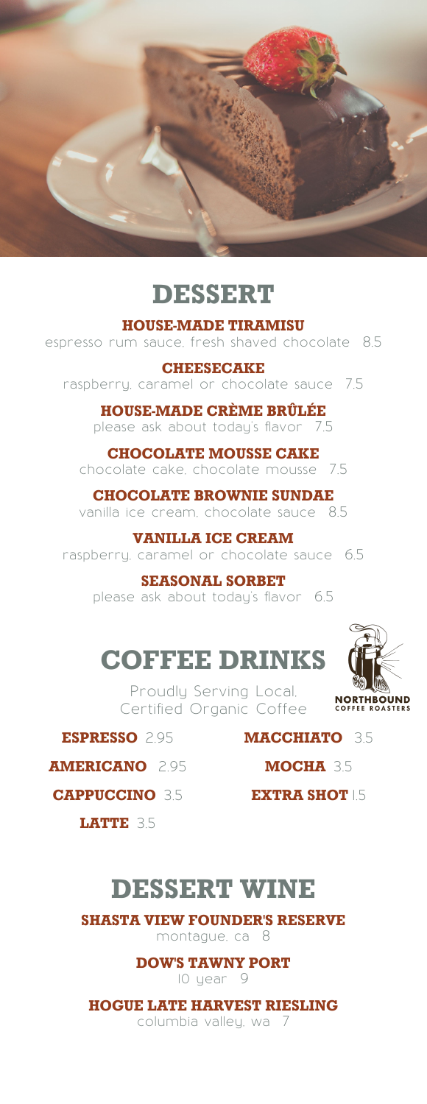

# **DESSERT**

**HOUSE-MADE TIRAMISU**

espresso rum sauce, fresh shaved chocolate 8.5

#### **CHEESECAKE** raspberry, caramel or chocolate sauce 7.5

**HOUSE-MADE CRÈME BRÛLÉE**<br>Nease ask about today's flavor 75 please ask about today's flavor

**CHOCOLATE MOUSSE CAKE** chocolate cake, chocolate mousse 7.5

**CHOCOLATE BROWNIE SUNDAE** vanilla ice cream, chocolate sauce 8.5

**VANILLA ICE CREAM** raspberry, caramel or chocolate sauce 6.5

**SEASONAL SORBET** please ask about today's flavor 6.5

# **COFFEE DRINKS**

Proudly Serving Local, Certified Organic Coffee



**ESPRESSO** 2.95

**MACCHIATO** 3.5

**AMERICANO** 2.95

**CAPPUCCINO** 3.5

**MOCHA** 3.5 **EXTRA SHOT 15** 

**LATTE** 3.5

# **DESSERT WINE**

**SHASTA VIEW FOUNDER'S RESERVE** montague, ca 8

**DOW'S TAWNY PORT**

10 year 9

**HOGUE LATE HARVEST RIESLING**

columbia valley, wa 7